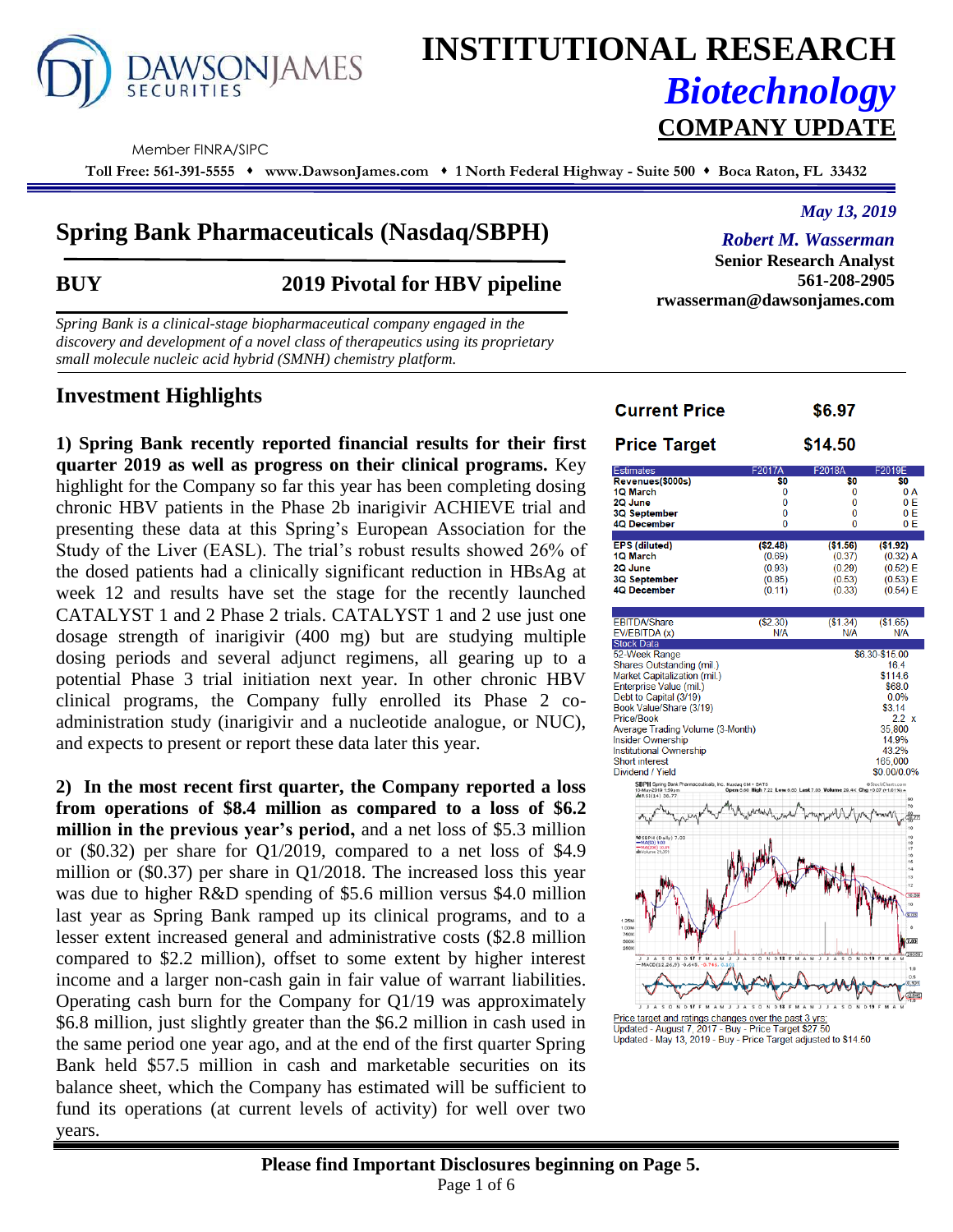# DAWSONJAMES

# **INSTITUTIONAL RESEARCH** *Biotechnology* **COMPANY UPDATE**

Member FINRA/SIPC

**Toll Free: 561-391-5555 www.DawsonJames.com 1 North Federal Highway - Suite 500 Boca Raton, FL 33432**

# **Spring Bank Pharmaceuticals (Nasdaq/SBPH)**

# **BUY 2019 Pivotal for HBV pipeline**

*Spring Bank is a clinical-stage biopharmaceutical company engaged in the discovery and development of a novel class of therapeutics using its proprietary small molecule nucleic acid hybrid (SMNH) chemistry platform.*

# **Investment Highlights**

**1) Spring Bank recently reported financial results for their first quarter 2019 as well as progress on their clinical programs.** Key highlight for the Company so far this year has been completing dosing chronic HBV patients in the Phase 2b inarigivir ACHIEVE trial and presenting these data at this Spring's European Association for the Study of the Liver (EASL). The trial's robust results showed 26% of the dosed patients had a clinically significant reduction in HBsAg at week 12 and results have set the stage for the recently launched CATALYST 1 and 2 Phase 2 trials. CATALYST 1 and 2 use just one dosage strength of inarigivir (400 mg) but are studying multiple dosing periods and several adjunct regimens, all gearing up to a potential Phase 3 trial initiation next year. In other chronic HBV clinical programs, the Company fully enrolled its Phase 2 coadministration study (inarigivir and a nucleotide analogue, or NUC), and expects to present or report these data later this year.

**2) In the most recent first quarter, the Company reported a loss from operations of \$8.4 million as compared to a loss of \$6.2 million in the previous year's period,** and a net loss of \$5.3 million or (\$0.32) per share for Q1/2019, compared to a net loss of \$4.9 million or (\$0.37) per share in Q1/2018. The increased loss this year was due to higher R&D spending of \$5.6 million versus \$4.0 million last year as Spring Bank ramped up its clinical programs, and to a lesser extent increased general and administrative costs (\$2.8 million compared to \$2.2 million), offset to some extent by higher interest income and a larger non-cash gain in fair value of warrant liabilities. Operating cash burn for the Company for Q1/19 was approximately \$6.8 million, just slightly greater than the \$6.2 million in cash used in the same period one year ago, and at the end of the first quarter Spring Bank held \$57.5 million in cash and marketable securities on its balance sheet, which the Company has estimated will be sufficient to fund its operations (at current levels of activity) for well over two years.

#### **Current Price** \$6.97 **Price Target** \$14.50 Revenues(\$000s) 10 March  $\Omega$  $\Omega$  $0A$ 2Q June  $\Omega$  $0E$ 3Q September  $\Omega$  $\Omega$ Ō 4Q December  $\mathbf{0}$  $\Omega$  $0 F$ **EPS (diluted)**  $($1.56)$  $(52.48)$  $($1.92)$ 1Q March  $(0.69)$  $(0.37)$  $(0.32)$  A  $(0.93)$  $(0.29)$  $(0.52) E$ 2Q June **3Q September**  $(0.85)$  $(0.53)$  $(0.53) E$ **4Q December**  $(0.11)$  $(0.33)$  $(0.54) E$  $(S1.34)$ **EBITDA/Share**  $(S2.30)$  $($1.65)$ EV/EBITDA (x) N/A N/A N/Á Stock Data 52-Week Range \$6.30-\$15.00 Shares Outstanding (mil.) 16.4 Market Capitalization (mil.) \$114.6 \$68.0 Enterprise Value (mil.) Debt to Capital (3/19)  $0.0%$ Book Value/Share (3/19)  $$3.14$ Price/Book  $2.2$ Average Trading Volume (3-Month) 35.800 Insider Ownership 14.9% Institutional Ownership 43 2% 165,000 Short interest Dividend / Yield \$0.00/0.0%

Price target and ratings changes over the past 3 yrs:<br>Updated - August 7, 2017 - Buy - Price Target \$27.50 Updated - May 13, 2019 - Buy - Price Target adjusted to \$14.50

# *Robert M. Wasserman*

*May 13, 2019*

**Senior Research Analyst 561-208-2905 rwasserman@dawsonjames.com**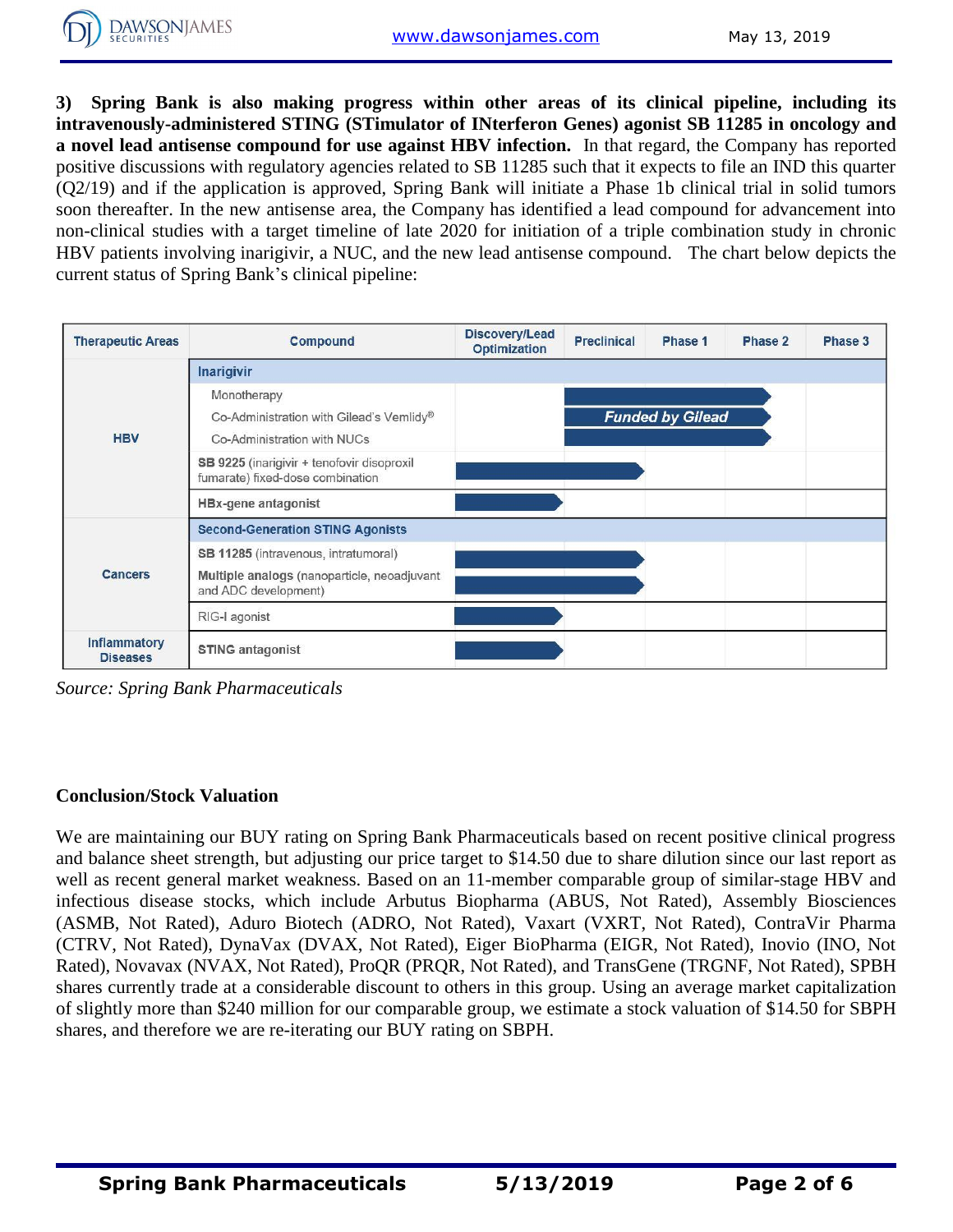**3) Spring Bank is also making progress within other areas of its clinical pipeline, including its intravenously-administered STING (STimulator of INterferon Genes) agonist SB 11285 in oncology and a novel lead antisense compound for use against HBV infection.** In that regard, the Company has reported positive discussions with regulatory agencies related to SB 11285 such that it expects to file an IND this quarter (Q2/19) and if the application is approved, Spring Bank will initiate a Phase 1b clinical trial in solid tumors soon thereafter. In the new antisense area, the Company has identified a lead compound for advancement into non-clinical studies with a target timeline of late 2020 for initiation of a triple combination study in chronic HBV patients involving inarigivir, a NUC, and the new lead antisense compound. The chart below depicts the current status of Spring Bank's clinical pipeline:

| <b>Therapeutic Areas</b>               | <b>Compound</b>                                                                | Discovery/Lead<br><b>Optimization</b> | <b>Preclinical</b> | Phase 1 | Phase 2 | Phase 3 |  |  |  |  |  |
|----------------------------------------|--------------------------------------------------------------------------------|---------------------------------------|--------------------|---------|---------|---------|--|--|--|--|--|
|                                        | <b>Inarigivir</b>                                                              |                                       |                    |         |         |         |  |  |  |  |  |
| <b>HBV</b>                             | Monotherapy                                                                    |                                       |                    |         |         |         |  |  |  |  |  |
|                                        | <b>Funded by Gilead</b><br>Co-Administration with Gilead's Vemlidy®            |                                       |                    |         |         |         |  |  |  |  |  |
|                                        | Co-Administration with NUCs                                                    |                                       |                    |         |         |         |  |  |  |  |  |
|                                        | SB 9225 (inarigivir + tenofovir disoproxil<br>fumarate) fixed-dose combination |                                       |                    |         |         |         |  |  |  |  |  |
|                                        | <b>HBx-gene antagonist</b>                                                     |                                       |                    |         |         |         |  |  |  |  |  |
| <b>Cancers</b>                         | <b>Second-Generation STING Agonists</b>                                        |                                       |                    |         |         |         |  |  |  |  |  |
|                                        | SB 11285 (intravenous, intratumoral)                                           |                                       |                    |         |         |         |  |  |  |  |  |
|                                        | Multiple analogs (nanoparticle, neoadjuvant<br>and ADC development)            |                                       |                    |         |         |         |  |  |  |  |  |
|                                        | RIG-I agonist                                                                  |                                       |                    |         |         |         |  |  |  |  |  |
| <b>Inflammatory</b><br><b>Diseases</b> | <b>STING antagonist</b>                                                        |                                       |                    |         |         |         |  |  |  |  |  |

*Source: Spring Bank Pharmaceuticals*

## **Conclusion/Stock Valuation**

We are maintaining our BUY rating on Spring Bank Pharmaceuticals based on recent positive clinical progress and balance sheet strength, but adjusting our price target to \$14.50 due to share dilution since our last report as well as recent general market weakness. Based on an 11-member comparable group of similar-stage HBV and infectious disease stocks, which include Arbutus Biopharma (ABUS, Not Rated), Assembly Biosciences (ASMB, Not Rated), Aduro Biotech (ADRO, Not Rated), Vaxart (VXRT, Not Rated), ContraVir Pharma (CTRV, Not Rated), DynaVax (DVAX, Not Rated), Eiger BioPharma (EIGR, Not Rated), Inovio (INO, Not Rated), Novavax (NVAX, Not Rated), ProQR (PRQR, Not Rated), and TransGene (TRGNF, Not Rated), SPBH shares currently trade at a considerable discount to others in this group. Using an average market capitalization of slightly more than \$240 million for our comparable group, we estimate a stock valuation of \$14.50 for SBPH shares, and therefore we are re-iterating our BUY rating on SBPH.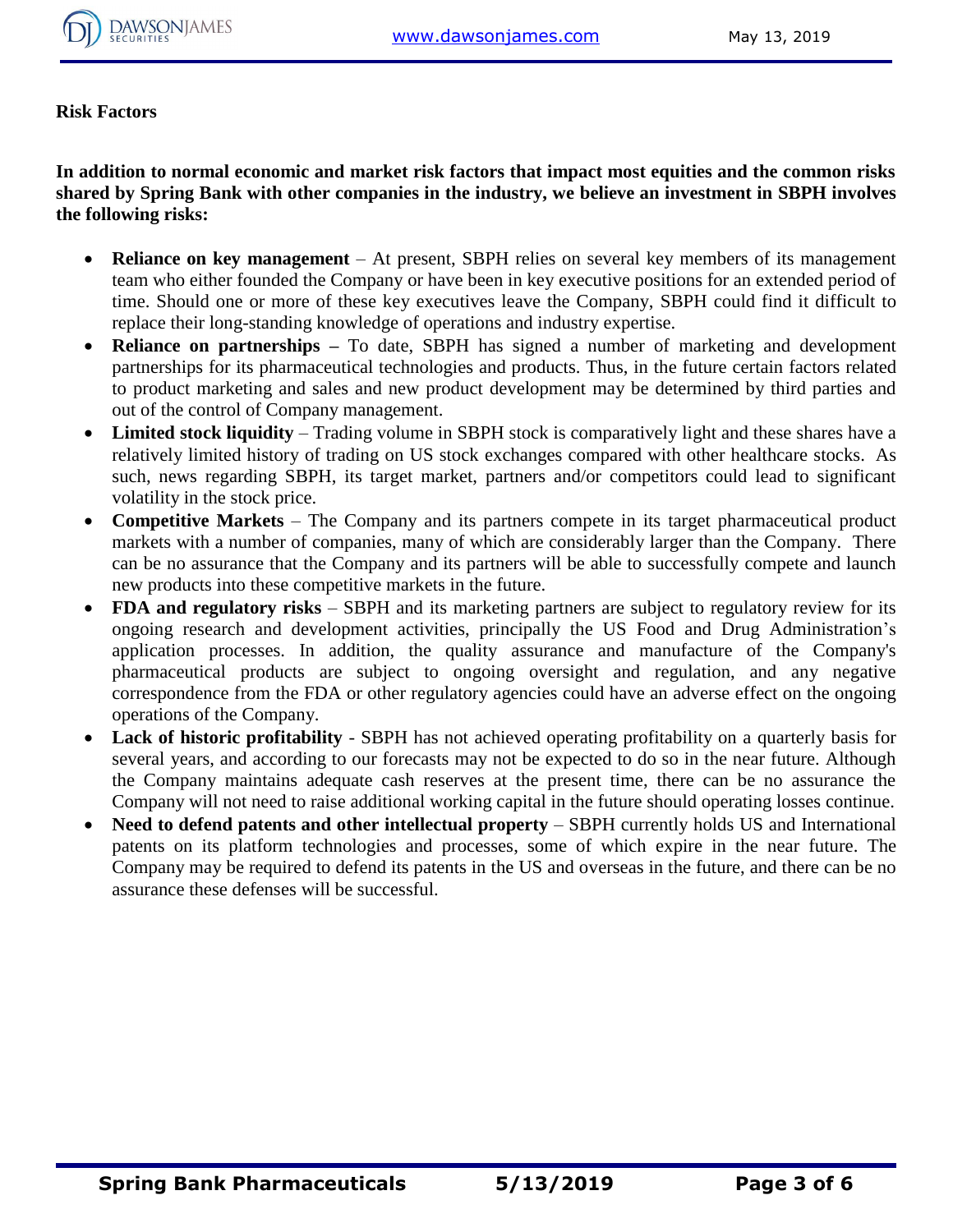

**Risk Factors**

**In addition to normal economic and market risk factors that impact most equities and the common risks shared by Spring Bank with other companies in the industry, we believe an investment in SBPH involves the following risks:**

- **Reliance on key management** At present, SBPH relies on several key members of its management team who either founded the Company or have been in key executive positions for an extended period of time. Should one or more of these key executives leave the Company, SBPH could find it difficult to replace their long-standing knowledge of operations and industry expertise.
- **Reliance on partnerships –** To date, SBPH has signed a number of marketing and development partnerships for its pharmaceutical technologies and products. Thus, in the future certain factors related to product marketing and sales and new product development may be determined by third parties and out of the control of Company management.
- **Limited stock liquidity**  Trading volume in SBPH stock is comparatively light and these shares have a relatively limited history of trading on US stock exchanges compared with other healthcare stocks. As such, news regarding SBPH, its target market, partners and/or competitors could lead to significant volatility in the stock price.
- **Competitive Markets** The Company and its partners compete in its target pharmaceutical product markets with a number of companies, many of which are considerably larger than the Company. There can be no assurance that the Company and its partners will be able to successfully compete and launch new products into these competitive markets in the future.
- **FDA and regulatory risks** SBPH and its marketing partners are subject to regulatory review for its ongoing research and development activities, principally the US Food and Drug Administration's application processes. In addition, the quality assurance and manufacture of the Company's pharmaceutical products are subject to ongoing oversight and regulation, and any negative correspondence from the FDA or other regulatory agencies could have an adverse effect on the ongoing operations of the Company.
- **Lack of historic profitability** SBPH has not achieved operating profitability on a quarterly basis for several years, and according to our forecasts may not be expected to do so in the near future. Although the Company maintains adequate cash reserves at the present time, there can be no assurance the Company will not need to raise additional working capital in the future should operating losses continue.
- **Need to defend patents and other intellectual property** SBPH currently holds US and International patents on its platform technologies and processes, some of which expire in the near future. The Company may be required to defend its patents in the US and overseas in the future, and there can be no assurance these defenses will be successful.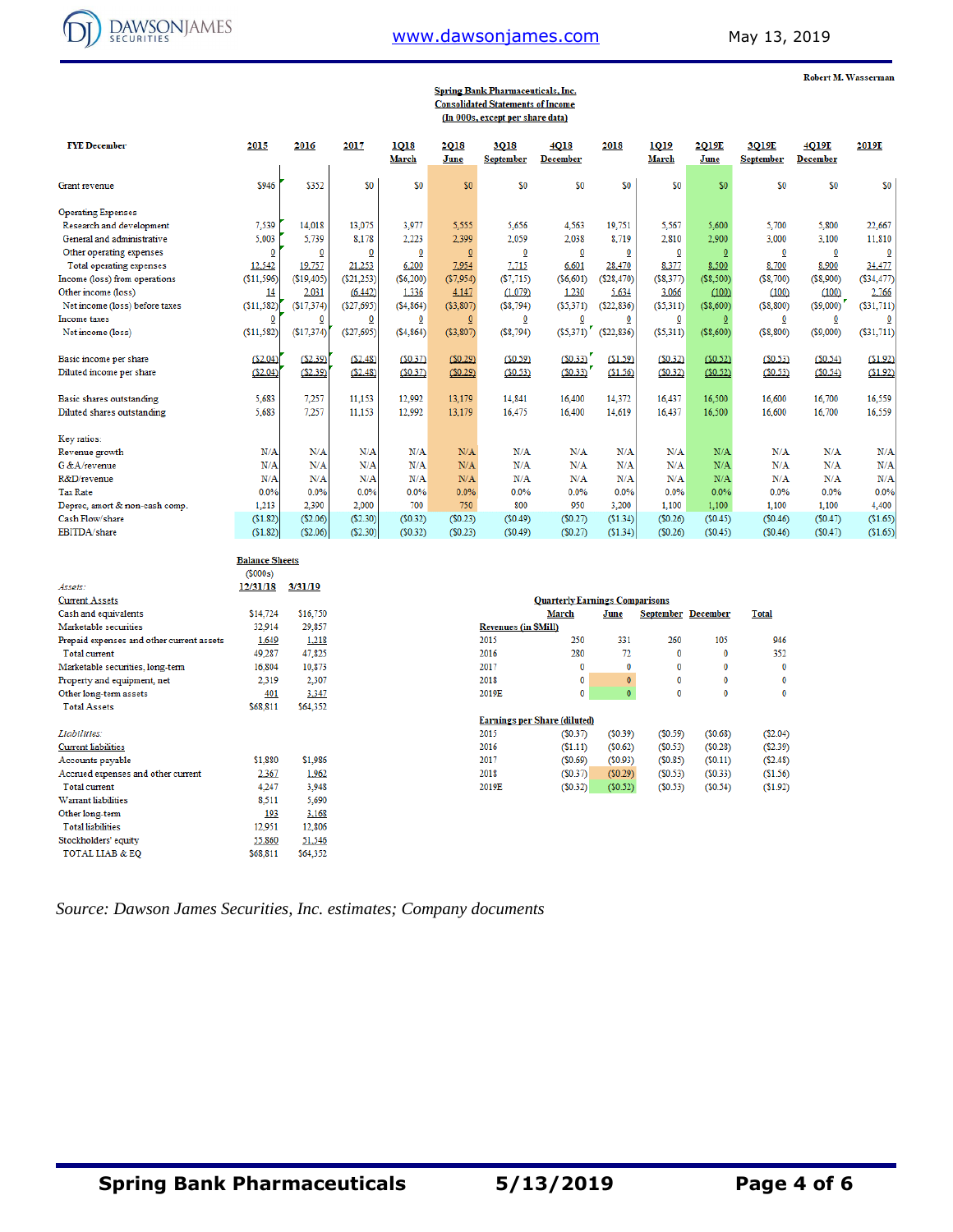

# [www.dawsonjames.com](http://www.dawsonjames.com/) May 13, 2019

| <b>Robert M. Wasserman</b> |
|----------------------------|
|----------------------------|

|                                           |                       |                         |                         |                      |                            | <b>Spring Bank Pharmaceuticals, Inc.</b><br><b>Consolidated Statements of Income</b><br>(In 000s, except per share data) |                                       |              |                           |                      |                           |                          |            |
|-------------------------------------------|-----------------------|-------------------------|-------------------------|----------------------|----------------------------|--------------------------------------------------------------------------------------------------------------------------|---------------------------------------|--------------|---------------------------|----------------------|---------------------------|--------------------------|------------|
| <b>FYE December</b>                       | 2015                  | 2016                    | 2017                    | 1018<br><b>March</b> | <b>2018</b><br><u>June</u> | 3Q18<br><b>September</b>                                                                                                 | 4Q18<br><b>December</b>               | 2018         | 1019<br>March             | 2019E<br><b>June</b> | 3Q19E<br><b>September</b> | 4Q19E<br><b>December</b> | 2019E      |
| Grant revenue                             | \$946                 | \$352                   | \$0                     | \$0                  | \$0                        | \$0                                                                                                                      | \$0                                   | \$0          | \$0                       | \$0                  | \$O                       | \$O                      | \$0        |
| <b>Operating Expenses</b>                 |                       |                         |                         |                      |                            |                                                                                                                          |                                       |              |                           |                      |                           |                          |            |
| Research and development                  | 7,539                 | 14,018                  | 13,075                  | 3,977                | 5,555                      | 5.656                                                                                                                    | 4,563                                 | 19,751       | 5,567                     | 5,600                | 5,700                     | 5,800                    | 22,667     |
| General and administrative                | 5,003                 | 5,739                   | 8,178                   | 2,223                | 2,399                      | 2,059                                                                                                                    | 2,038                                 | 8,719        | 2,810                     | 2,900                | 3,000                     | 3,100                    | 11,810     |
| Other operating expenses                  | $\overline{0}$        | $\overline{\mathbf{0}}$ | $\overline{0}$          | 0                    | $\overline{0}$             | $\overline{0}$                                                                                                           | Ō                                     | $\Omega$     | $\overline{0}$            | $\overline{0}$       | $\overline{0}$            | $\overline{\mathbf{0}}$  |            |
| Total operating expenses                  | 12,542                | 19,757                  | 21,253                  | 6,200                | 7,954                      | 7,715                                                                                                                    | 6,601                                 | 28,470       | 8,377                     | 8,500                | 8,700                     | 8,900                    | 34,477     |
| Income (loss) from operations             | (\$11,596)            | (\$19,405)              | (\$21,253)              | $($ \$6,200)         | (S7, 954)                  | (S7,715)                                                                                                                 | ( \$6,601)                            | (S28, 470)   | (S8, 377)                 | (S8, 500)            | (S8,700)                  | (S8,900)                 | (S34, 477) |
| Other income (loss)                       | <u>14</u>             | 2,031                   | (6, 442)                | 1,336                | 4,147                      | (1.079)                                                                                                                  | 1,230                                 | 5,634        | 3,066                     | (100)                | (100)                     | (100)                    | 2,766      |
| Net income (loss) before taxes            | ( \$11, 582)          | ( \$17,374)             | ( \$27,695)             | (54, 864)            | ( \$3, 807)                | (S8, 794)                                                                                                                | (55,371)                              | (522, 836)   | ( \$5,311)                | $($ \$8,600)         | ( \$8, 800)               | $($ \$9,000)             | (S31,711)  |
| Income taxes                              | 0                     | $\overline{\mathbf{0}}$ | $\overline{\mathbf{0}}$ | $\Omega$             | Q                          | $\overline{\mathbf{0}}$                                                                                                  | 0                                     | 0            | $\overline{0}$            | $\overline{0}$       | $\overline{0}$            | $\overline{\mathbf{0}}$  | O          |
| Net income (loss)                         | (\$11,582)            | (\$17,374)              | (S27, 695)              | (S4, 864)            | (S3, 807)                  | (S8, 794)                                                                                                                | (\$5,371)                             | ( \$22, 836) | (\$5,311)                 | (S8,600)             | (\$8,800)                 | ( \$9,000)               | (\$31,711  |
| Basic income per share                    | ( \$2.04)             | (\$2.39)                | (S2.48)                 | (S0.37)              | (50.29)                    | (\$0.59)                                                                                                                 | (S0.33)                               | (\$1.59)     | (S0.32)                   | (50.52)              | (50.53)                   | (50.54)                  | \$1.92     |
| Diluted income per share                  | (\$2.04)              | (52.39)                 | (S2.48)                 | (S0.37)              | (50.29)                    | (\$0.53)                                                                                                                 | (S0.33)                               | \$1.56       | (S0.32)                   | ( \$0.52)            | (S0.53)                   | (S0.54)                  | \$1.92     |
|                                           |                       |                         |                         |                      |                            |                                                                                                                          |                                       |              |                           |                      |                           |                          |            |
| Basic shares outstanding                  | 5,683                 | 7,257                   | 11,153                  | 12,992               | 13,179                     | 14,841                                                                                                                   | 16,400                                | 14,372       | 16,437                    | 16,500               | 16,600                    | 16,700                   | 16,559     |
| Diluted shares outstanding                | 5,683                 | 7,257                   | 11,153                  | 12,992               | 13,179                     | 16,475                                                                                                                   | 16,400                                | 14,619       | 16,437                    | 16,500               | 16,600                    | 16,700                   | 16,559     |
| Key ratios:                               |                       |                         |                         |                      |                            |                                                                                                                          |                                       |              |                           |                      |                           |                          |            |
| Revenue growth                            | N/A                   | N/A                     | N/A                     | N/A                  | N/A                        | N/A                                                                                                                      | N/A                                   | N/A          | N/A                       | N/A                  | N/A                       | N/A                      | N/l        |
| G & A/revenue                             | N/A                   | N/A                     | N/A                     | N/A                  | N/A                        | N/A                                                                                                                      | N/A                                   | N/A          | N/A                       | N/A                  | N/A                       | N/A                      | N/l        |
| R&D/revenue                               | N/A                   | N/A                     | N/A                     | N/A                  | N/A                        | N/A                                                                                                                      | N/A                                   | N/A          | N/A                       | N/A                  | N/A                       | N/A                      | N/l        |
| <b>Tax Rate</b>                           | 0.0%                  | 0.0%                    | 0.0%                    | 0.0%                 | 0.0%                       | 0.0%                                                                                                                     | 0.0%                                  | 0.0%         | 0.0%                      | 0.0%                 | 0.0%                      | 0.0%                     | 0.09       |
| Deprec, amort & non-cash comp.            | 1,213                 | 2,390                   | 2,000                   | 700                  | 750                        | 800                                                                                                                      | 950                                   | 3,200        | 1,100                     | 1,100                | 1,100                     | 1.100                    | 4,400      |
| Cash Flow/share                           | (\$1.82)              | ( \$2.06)               | ( \$2.30)               | (50.32)              | (50.23)                    | (50.49)                                                                                                                  | (S0.27)                               | (\$1.34)     | (50.26)                   | (50.45)              | (S0.46)                   | (50.47)                  | (S1.65)    |
| EBITDA/share                              | (\$1.82)              | ( \$2.06)               | ( \$2.30)               | (50.32)              | (S0.23)                    | (S0.49)                                                                                                                  | (S0.27)                               | ( \$1.34)    | (S0.26)                   | (S0.45)              | (S0.46)                   | (S0.47)                  | (\$1.65    |
|                                           | <b>Balance Sheets</b> |                         |                         |                      |                            |                                                                                                                          |                                       |              |                           |                      |                           |                          |            |
|                                           | (5000s)               |                         |                         |                      |                            |                                                                                                                          |                                       |              |                           |                      |                           |                          |            |
| Assets:                                   | 12/31/18              | 3/31/19                 |                         |                      |                            |                                                                                                                          |                                       |              |                           |                      |                           |                          |            |
| <b>Current Assets</b>                     |                       |                         |                         |                      |                            |                                                                                                                          | <b>Quarterly Earnings Comparisons</b> |              |                           |                      |                           |                          |            |
| Cash and equivalents                      | \$14,724              | \$16,750                |                         |                      |                            |                                                                                                                          | <b>March</b>                          | <b>June</b>  | <b>September December</b> |                      | <b>Total</b>              |                          |            |
| Marketable securities                     | 32,914                | 29,857                  |                         |                      |                            | <b>Revenues (in \$Mill)</b>                                                                                              |                                       |              |                           |                      |                           |                          |            |
| Prepaid expenses and other current assets | 1,649                 | 1,218                   |                         |                      |                            | 2015                                                                                                                     | 250                                   | 331          | 260                       | 105                  | 946                       |                          |            |
| Total current                             | 49,287                | 47,825                  |                         |                      |                            | 2016                                                                                                                     | 280                                   | 72           | $\theta$                  | $\mathbf 0$          | 352                       |                          |            |
| Marketable securities, long-term          | 16,804                | 10,873                  |                         |                      |                            | 2017                                                                                                                     | 0                                     | $\mathbf{0}$ | $\bf{0}$                  | $\bf{0}$             | $\mathbf{0}$              |                          |            |
| Property and equipment, net               | 2,319                 | 2,307                   |                         |                      |                            | 2018                                                                                                                     | 0                                     | $\mathbf{0}$ | 0                         | 0                    | $\mathbf{0}$              |                          |            |
| Other long-term assets                    | 401                   | 3,347                   |                         |                      |                            | 2019E                                                                                                                    | 0                                     | $\mathbf{0}$ | 0                         | $\bf{0}$             | $\bf{0}$                  |                          |            |
| <b>Total Assets</b>                       | \$68,811              | \$64,352                |                         |                      |                            |                                                                                                                          |                                       |              |                           |                      |                           |                          |            |
|                                           |                       |                         |                         |                      |                            |                                                                                                                          | <b>Earnings per Share (diluted)</b>   |              |                           |                      |                           |                          |            |
| Liabilities:                              |                       |                         |                         |                      |                            | 2015                                                                                                                     | (S0.37)                               | (S0.39)      | (S0.59)                   | (50.68)              | (S2.04)                   |                          |            |
| <b>Current liabilities</b>                |                       |                         |                         |                      |                            | 2016                                                                                                                     | (51.11)                               | (50.62)      | (S0.53)                   | (50.28)              | (S2.39)                   |                          |            |
| Accounts payable                          | \$1,880               | \$1,986                 |                         |                      |                            | 2017                                                                                                                     | (50.69)                               | (S0.93)      | (S0.85)                   | (50.11)              | ( \$2.48)                 |                          |            |
| Accrued expenses and other current        | 2,367                 | 1,962                   |                         |                      |                            | 2018                                                                                                                     | (S0.37)                               | (50.29)      | (S0.53)                   | (S0.33)              | (\$1.56)                  |                          |            |
| <b>Total</b> current                      | 4,247                 | 3,948                   |                         |                      |                            | 2019E                                                                                                                    | (S0.32)                               | (50.52)      | (50.53)                   | (S0.54)              | (\$1.92)                  |                          |            |
| Warrant liabilities                       | 8,511                 | 5,690                   |                         |                      |                            |                                                                                                                          |                                       |              |                           |                      |                           |                          |            |
| Other long-term                           | 193                   | 3,168                   |                         |                      |                            |                                                                                                                          |                                       |              |                           |                      |                           |                          |            |
| <b>Total liabilities</b>                  | 12,951                | 12,806                  |                         |                      |                            |                                                                                                                          |                                       |              |                           |                      |                           |                          |            |
| Stockholders' equity                      | 55,860                | 51,546                  |                         |                      |                            |                                                                                                                          |                                       |              |                           |                      |                           |                          |            |
| <b>TOTAL LIAB &amp; EQ</b>                | \$68,811              | \$64,352                |                         |                      |                            |                                                                                                                          |                                       |              |                           |                      |                           |                          |            |

*Source: Dawson James Securities, Inc. estimates; Company documents*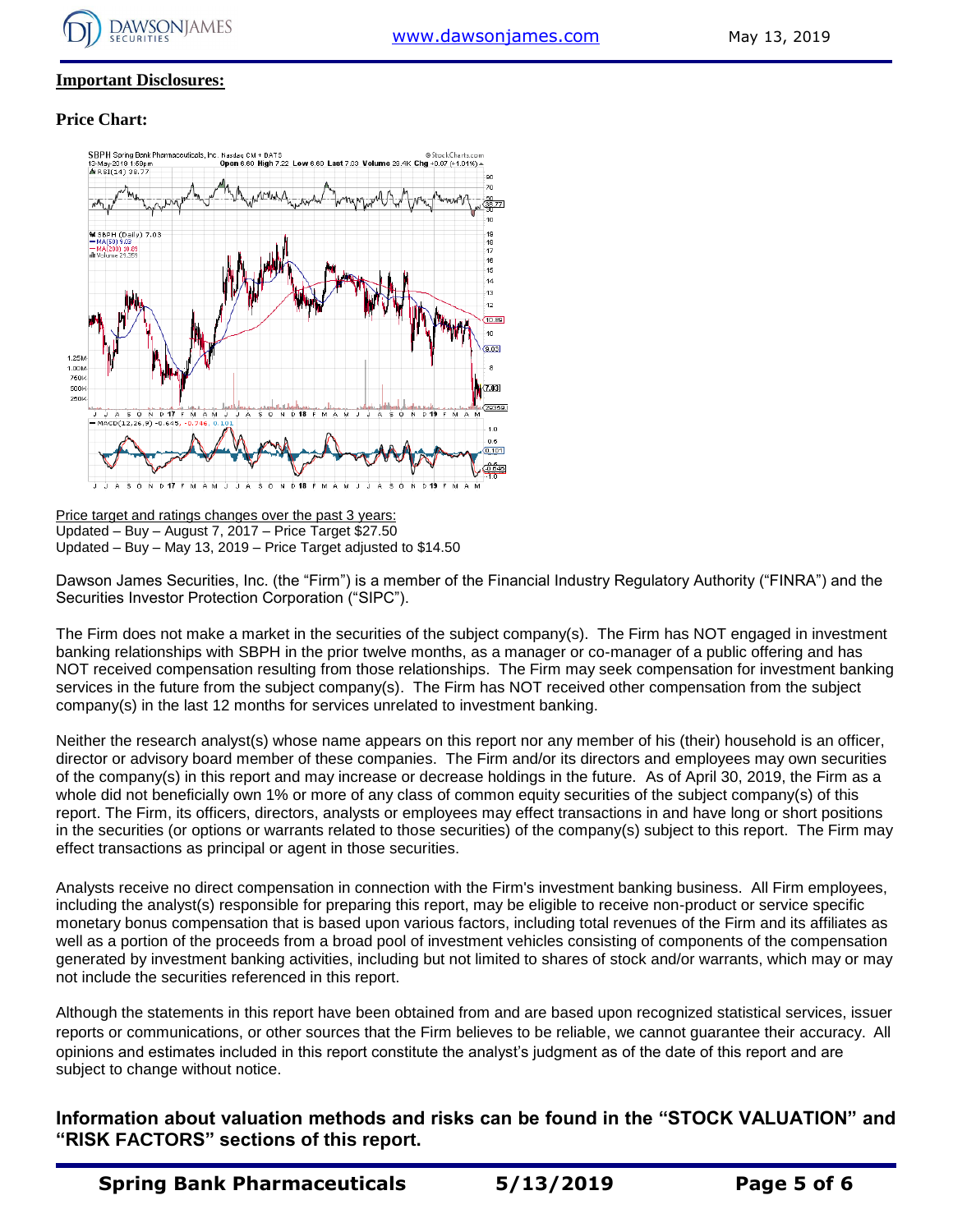

### **Important Disclosures:**

### **Price Chart:**



Price target and ratings changes over the past 3 years: Updated – Buy – August 7, 2017 – Price Target \$27.50 Updated – Buy – May 13, 2019 – Price Target adjusted to \$14.50

Dawson James Securities, Inc. (the "Firm") is a member of the Financial Industry Regulatory Authority ("FINRA") and the Securities Investor Protection Corporation ("SIPC").

The Firm does not make a market in the securities of the subject company(s). The Firm has NOT engaged in investment banking relationships with SBPH in the prior twelve months, as a manager or co-manager of a public offering and has NOT received compensation resulting from those relationships. The Firm may seek compensation for investment banking services in the future from the subject company(s). The Firm has NOT received other compensation from the subject company(s) in the last 12 months for services unrelated to investment banking.

Neither the research analyst(s) whose name appears on this report nor any member of his (their) household is an officer, director or advisory board member of these companies. The Firm and/or its directors and employees may own securities of the company(s) in this report and may increase or decrease holdings in the future. As of April 30, 2019, the Firm as a whole did not beneficially own 1% or more of any class of common equity securities of the subject company(s) of this report. The Firm, its officers, directors, analysts or employees may effect transactions in and have long or short positions in the securities (or options or warrants related to those securities) of the company(s) subject to this report. The Firm may effect transactions as principal or agent in those securities.

Analysts receive no direct compensation in connection with the Firm's investment banking business. All Firm employees, including the analyst(s) responsible for preparing this report, may be eligible to receive non-product or service specific monetary bonus compensation that is based upon various factors, including total revenues of the Firm and its affiliates as well as a portion of the proceeds from a broad pool of investment vehicles consisting of components of the compensation generated by investment banking activities, including but not limited to shares of stock and/or warrants, which may or may not include the securities referenced in this report.

Although the statements in this report have been obtained from and are based upon recognized statistical services, issuer reports or communications, or other sources that the Firm believes to be reliable, we cannot guarantee their accuracy. All opinions and estimates included in this report constitute the analyst's judgment as of the date of this report and are subject to change without notice.

**Information about valuation methods and risks can be found in the "STOCK VALUATION" and "RISK FACTORS" sections of this report.**